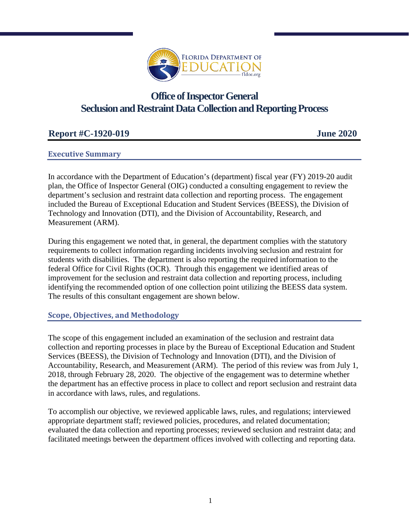

# **Office of Inspector General Seclusion and Restraint Data Collection and Reporting Process**

## **Report #C-1920-019 June 2020**

#### **Executive Summary**

In accordance with the Department of Education's (department) fiscal year (FY) 2019-20 audit plan, the Office of Inspector General (OIG) conducted a consulting engagement to review the department's seclusion and restraint data collection and reporting process. The engagement included the Bureau of Exceptional Education and Student Services (BEESS), the Division of Technology and Innovation (DTI), and the Division of Accountability, Research, and Measurement (ARM).

During this engagement we noted that, in general, the department complies with the statutory requirements to collect information regarding incidents involving seclusion and restraint for students with disabilities. The department is also reporting the required information to the federal Office for Civil Rights (OCR). Through this engagement we identified areas of improvement for the seclusion and restraint data collection and reporting process, including identifying the recommended option of one collection point utilizing the BEESS data system. The results of this consultant engagement are shown below.

### **Scope, Objectives, and Methodology**

The scope of this engagement included an examination of the seclusion and restraint data collection and reporting processes in place by the Bureau of Exceptional Education and Student Services (BEESS), the Division of Technology and Innovation (DTI), and the Division of Accountability, Research, and Measurement (ARM). The period of this review was from July 1, 2018, through February 28, 2020. The objective of the engagement was to determine whether the department has an effective process in place to collect and report seclusion and restraint data in accordance with laws, rules, and regulations.

To accomplish our objective, we reviewed applicable laws, rules, and regulations; interviewed appropriate department staff; reviewed policies, procedures, and related documentation; evaluated the data collection and reporting processes; reviewed seclusion and restraint data; and facilitated meetings between the department offices involved with collecting and reporting data.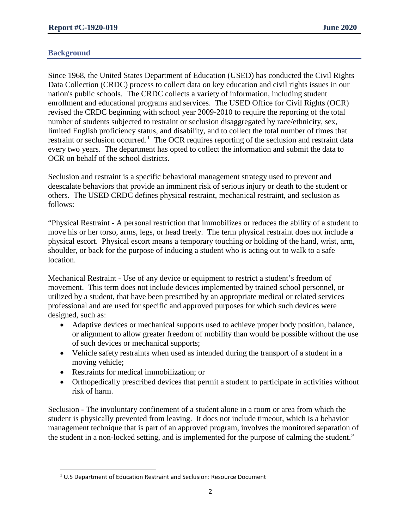#### **Background**

 $\overline{a}$ 

Since 1968, the United States Department of Education (USED) has conducted the Civil Rights Data Collection (CRDC) process to collect data on key education and civil rights issues in our nation's public schools. The CRDC collects a variety of information, including student enrollment and educational programs and services. The USED Office for Civil Rights (OCR) revised the CRDC beginning with school year 2009-2010 to require the reporting of the total number of students subjected to restraint or seclusion disaggregated by race/ethnicity, sex, limited English proficiency status, and disability, and to collect the total number of times that restraint or seclusion occurred.<sup>[1](#page-1-0)</sup> The OCR requires reporting of the seclusion and restraint data every two years. The department has opted to collect the information and submit the data to OCR on behalf of the school districts.

Seclusion and restraint is a specific behavioral management strategy used to prevent and deescalate behaviors that provide an imminent risk of serious injury or death to the student or others. The USED CRDC defines physical restraint, mechanical restraint, and seclusion as follows:

"Physical Restraint - A personal restriction that immobilizes or reduces the ability of a student to move his or her torso, arms, legs, or head freely. The term physical restraint does not include a physical escort. Physical escort means a temporary touching or holding of the hand, wrist, arm, shoulder, or back for the purpose of inducing a student who is acting out to walk to a safe location.

Mechanical Restraint - Use of any device or equipment to restrict a student's freedom of movement. This term does not include devices implemented by trained school personnel, or utilized by a student, that have been prescribed by an appropriate medical or related services professional and are used for specific and approved purposes for which such devices were designed, such as:

- Adaptive devices or mechanical supports used to achieve proper body position, balance, or alignment to allow greater freedom of mobility than would be possible without the use of such devices or mechanical supports;
- Vehicle safety restraints when used as intended during the transport of a student in a moving vehicle;
- Restraints for medical immobilization; or
- Orthopedically prescribed devices that permit a student to participate in activities without risk of harm.

Seclusion - The involuntary confinement of a student alone in a room or area from which the student is physically prevented from leaving. It does not include timeout, which is a behavior management technique that is part of an approved program, involves the monitored separation of the student in a non-locked setting, and is implemented for the purpose of calming the student."

<span id="page-1-0"></span> $1$  U.S Department of Education Restraint and Seclusion: Resource Document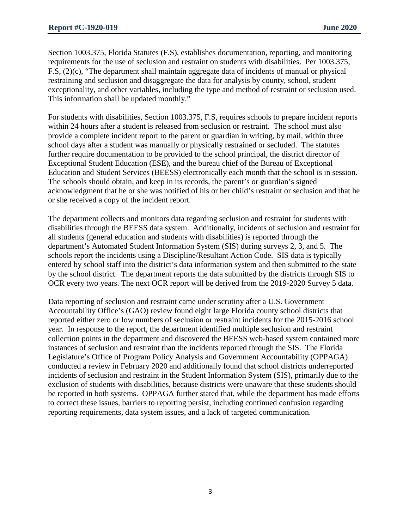Section 1003.375, Florida Statutes (F.S), establishes documentation, reporting, and monitoring requirements for the use of seclusion and restraint on students with disabilities. Per 1003.375, F.S, (2)(c), "The department shall maintain aggregate data of incidents of manual or physical restraining and seclusion and disaggregate the data for analysis by county, school, student exceptionality, and other variables, including the type and method of restraint or seclusion used. This information shall be updated monthly."

For students with disabilities, Section 1003.375, F.S, requires schools to prepare incident reports within 24 hours after a student is released from seclusion or restraint. The school must also provide a complete incident report to the parent or guardian in writing, by mail, within three school days after a student was manually or physically restrained or secluded. The statutes further require documentation to be provided to the school principal, the district director of Exceptional Student Education (ESE), and the bureau chief of the Bureau of Exceptional Education and Student Services (BEESS) electronically each month that the school is in session. The schools should obtain, and keep in its records, the parent's or guardian's signed acknowledgment that he or she was notified of his or her child's restraint or seclusion and that he or she received a copy of the incident report.

The department collects and monitors data regarding seclusion and restraint for students with disabilities through the BEESS data system. Additionally, incidents of seclusion and restraint for all students (general education and students with disabilities) is reported through the department's Automated Student Information System (SIS) during surveys 2, 3, and 5. The schools report the incidents using a Discipline/Resultant Action Code. SIS data is typically entered by school staff into the district's data information system and then submitted to the state by the school district. The department reports the data submitted by the districts through SIS to OCR every two years. The next OCR report will be derived from the 2019-2020 Survey 5 data.

Data reporting of seclusion and restraint came under scrutiny after a U.S. Government Accountability Office's (GAO) review found eight large Florida county school districts that reported either zero or low numbers of seclusion or restraint incidents for the 2015-2016 school year. In response to the report, the department identified multiple seclusion and restraint collection points in the department and discovered the BEESS web-based system contained more instances of seclusion and restraint than the incidents reported through the SIS. The Florida Legislature's Office of Program Policy Analysis and Government Accountability (OPPAGA) conducted a review in February 2020 and additionally found that school districts underreported incidents of seclusion and restraint in the Student Information System (SIS), primarily due to the exclusion of students with disabilities, because districts were unaware that these students should be reported in both systems. OPPAGA further stated that, while the department has made efforts to correct these issues, barriers to reporting persist, including continued confusion regarding reporting requirements, data system issues, and a lack of targeted communication.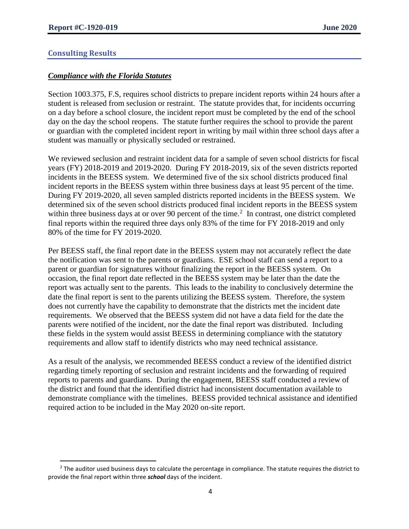#### **Consulting Results**

 $\overline{\phantom{a}}$ 

#### *Compliance with the Florida Statutes*

Section 1003.375, F.S, requires school districts to prepare incident reports within 24 hours after a student is released from seclusion or restraint. The statute provides that, for incidents occurring on a day before a school closure, the incident report must be completed by the end of the school day on the day the school reopens. The statute further requires the school to provide the parent or guardian with the completed incident report in writing by mail within three school days after a student was manually or physically secluded or restrained.

We reviewed seclusion and restraint incident data for a sample of seven school districts for fiscal years (FY) 2018-2019 and 2019-2020. During FY 2018-2019, six of the seven districts reported incidents in the BEESS system. We determined five of the six school districts produced final incident reports in the BEESS system within three business days at least 95 percent of the time. During FY 2019-2020, all seven sampled districts reported incidents in the BEESS system. We determined six of the seven school districts produced final incident reports in the BEESS system within three business days at or over 90 percent of the time.<sup>[2](#page-3-0)</sup> In contrast, one district completed final reports within the required three days only 83% of the time for FY 2018-2019 and only 80% of the time for FY 2019-2020.

Per BEESS staff, the final report date in the BEESS system may not accurately reflect the date the notification was sent to the parents or guardians. ESE school staff can send a report to a parent or guardian for signatures without finalizing the report in the BEESS system. On occasion, the final report date reflected in the BEESS system may be later than the date the report was actually sent to the parents. This leads to the inability to conclusively determine the date the final report is sent to the parents utilizing the BEESS system. Therefore, the system does not currently have the capability to demonstrate that the districts met the incident date requirements. We observed that the BEESS system did not have a data field for the date the parents were notified of the incident, nor the date the final report was distributed. Including these fields in the system would assist BEESS in determining compliance with the statutory requirements and allow staff to identify districts who may need technical assistance.

As a result of the analysis, we recommended BEESS conduct a review of the identified district regarding timely reporting of seclusion and restraint incidents and the forwarding of required reports to parents and guardians. During the engagement, BEESS staff conducted a review of the district and found that the identified district had inconsistent documentation available to demonstrate compliance with the timelines. BEESS provided technical assistance and identified required action to be included in the May 2020 on-site report.

<span id="page-3-0"></span> $<sup>2</sup>$  The auditor used business days to calculate the percentage in compliance. The statute requires the district to</sup> provide the final report within three *school* days of the incident.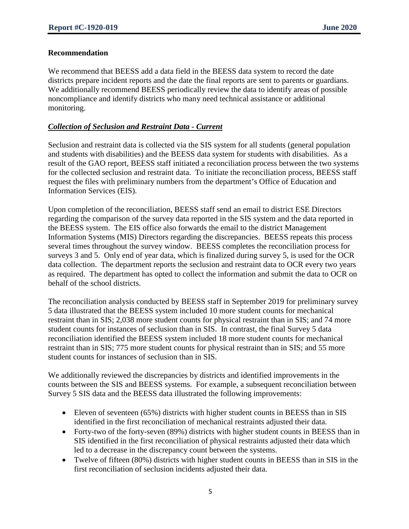#### **Recommendation**

We recommend that BEESS add a data field in the BEESS data system to record the date districts prepare incident reports and the date the final reports are sent to parents or guardians. We additionally recommend BEESS periodically review the data to identify areas of possible noncompliance and identify districts who many need technical assistance or additional monitoring.

#### *Collection of Seclusion and Restraint Data - Current*

Seclusion and restraint data is collected via the SIS system for all students (general population and students with disabilities) and the BEESS data system for students with disabilities. As a result of the GAO report, BEESS staff initiated a reconciliation process between the two systems for the collected seclusion and restraint data. To initiate the reconciliation process, BEESS staff request the files with preliminary numbers from the department's Office of Education and Information Services (EIS).

Upon completion of the reconciliation, BEESS staff send an email to district ESE Directors regarding the comparison of the survey data reported in the SIS system and the data reported in the BEESS system. The EIS office also forwards the email to the district Management Information Systems (MIS) Directors regarding the discrepancies. BEESS repeats this process several times throughout the survey window. BEESS completes the reconciliation process for surveys 3 and 5. Only end of year data, which is finalized during survey 5, is used for the OCR data collection. The department reports the seclusion and restraint data to OCR every two years as required. The department has opted to collect the information and submit the data to OCR on behalf of the school districts.

The reconciliation analysis conducted by BEESS staff in September 2019 for preliminary survey 5 data illustrated that the BEESS system included 10 more student counts for mechanical restraint than in SIS; 2,038 more student counts for physical restraint than in SIS; and 74 more student counts for instances of seclusion than in SIS. In contrast, the final Survey 5 data reconciliation identified the BEESS system included 18 more student counts for mechanical restraint than in SIS; 775 more student counts for physical restraint than in SIS; and 55 more student counts for instances of seclusion than in SIS.

We additionally reviewed the discrepancies by districts and identified improvements in the counts between the SIS and BEESS systems. For example, a subsequent reconciliation between Survey 5 SIS data and the BEESS data illustrated the following improvements:

- Eleven of seventeen (65%) districts with higher student counts in BEESS than in SIS identified in the first reconciliation of mechanical restraints adjusted their data.
- Forty-two of the forty-seven (89%) districts with higher student counts in BEESS than in SIS identified in the first reconciliation of physical restraints adjusted their data which led to a decrease in the discrepancy count between the systems.
- Twelve of fifteen (80%) districts with higher student counts in BEESS than in SIS in the first reconciliation of seclusion incidents adjusted their data.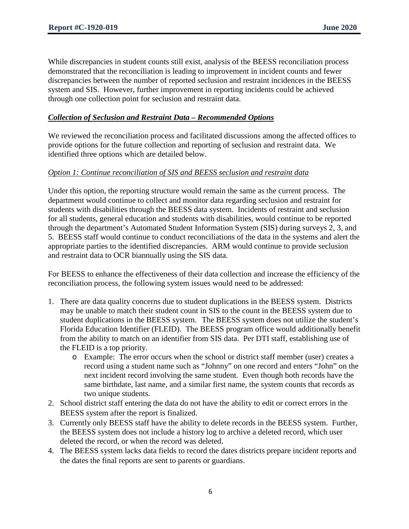While discrepancies in student counts still exist, analysis of the BEESS reconciliation process demonstrated that the reconciliation is leading to improvement in incident counts and fewer discrepancies between the number of reported seclusion and restraint incidences in the BEESS system and SIS. However, further improvement in reporting incidents could be achieved through one collection point for seclusion and restraint data.

#### *Collection of Seclusion and Restraint Data – Recommended Options*

We reviewed the reconciliation process and facilitated discussions among the affected offices to provide options for the future collection and reporting of seclusion and restraint data. We identified three options which are detailed below.

#### *Option 1: Continue reconciliation of SIS and BEESS seclusion and restraint data*

Under this option, the reporting structure would remain the same as the current process. The department would continue to collect and monitor data regarding seclusion and restraint for students with disabilities through the BEESS data system. Incidents of restraint and seclusion for all students, general education and students with disabilities, would continue to be reported through the department's Automated Student Information System (SIS) during surveys 2, 3, and 5. BEESS staff would continue to conduct reconciliations of the data in the systems and alert the appropriate parties to the identified discrepancies. ARM would continue to provide seclusion and restraint data to OCR biannually using the SIS data.

For BEESS to enhance the effectiveness of their data collection and increase the efficiency of the reconciliation process, the following system issues would need to be addressed:

- 1. There are data quality concerns due to student duplications in the BEESS system. Districts may be unable to match their student count in SIS to the count in the BEESS system due to student duplications in the BEESS system. The BEESS system does not utilize the student's Florida Education Identifier (FLEID). The BEESS program office would additionally benefit from the ability to match on an identifier from SIS data. Per DTI staff, establishing use of the FLEID is a top priority.
	- o Example: The error occurs when the school or district staff member (user) creates a record using a student name such as "Johnny" on one record and enters "John" on the next incident record involving the same student. Even though both records have the same birthdate, last name, and a similar first name, the system counts that records as two unique students.
- 2. School district staff entering the data do not have the ability to edit or correct errors in the BEESS system after the report is finalized.
- 3. Currently only BEESS staff have the ability to delete records in the BEESS system. Further, the BEESS system does not include a history log to archive a deleted record, which user deleted the record, or when the record was deleted.
- 4. The BEESS system lacks data fields to record the dates districts prepare incident reports and the dates the final reports are sent to parents or guardians.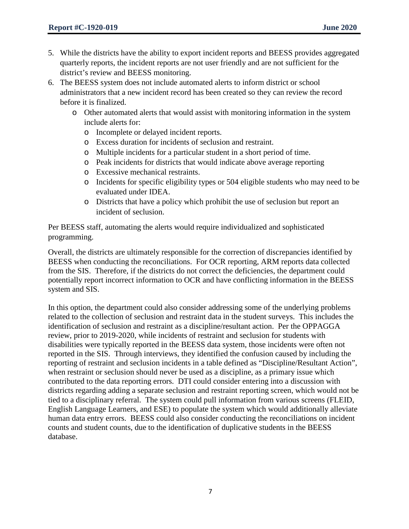- 5. While the districts have the ability to export incident reports and BEESS provides aggregated quarterly reports, the incident reports are not user friendly and are not sufficient for the district's review and BEESS monitoring.
- 6. The BEESS system does not include automated alerts to inform district or school administrators that a new incident record has been created so they can review the record before it is finalized.
	- o Other automated alerts that would assist with monitoring information in the system include alerts for:
		- o Incomplete or delayed incident reports.
		- o Excess duration for incidents of seclusion and restraint.
		- o Multiple incidents for a particular student in a short period of time.
		- o Peak incidents for districts that would indicate above average reporting
		- o Excessive mechanical restraints.
		- o Incidents for specific eligibility types or 504 eligible students who may need to be evaluated under IDEA.
		- o Districts that have a policy which prohibit the use of seclusion but report an incident of seclusion.

Per BEESS staff, automating the alerts would require individualized and sophisticated programming.

Overall, the districts are ultimately responsible for the correction of discrepancies identified by BEESS when conducting the reconciliations. For OCR reporting, ARM reports data collected from the SIS. Therefore, if the districts do not correct the deficiencies, the department could potentially report incorrect information to OCR and have conflicting information in the BEESS system and SIS.

In this option, the department could also consider addressing some of the underlying problems related to the collection of seclusion and restraint data in the student surveys. This includes the identification of seclusion and restraint as a discipline/resultant action. Per the OPPAGGA review, prior to 2019-2020, while incidents of restraint and seclusion for students with disabilities were typically reported in the BEESS data system, those incidents were often not reported in the SIS. Through interviews, they identified the confusion caused by including the reporting of restraint and seclusion incidents in a table defined as "Discipline/Resultant Action", when restraint or seclusion should never be used as a discipline, as a primary issue which contributed to the data reporting errors. DTI could consider entering into a discussion with districts regarding adding a separate seclusion and restraint reporting screen, which would not be tied to a disciplinary referral. The system could pull information from various screens (FLEID, English Language Learners, and ESE) to populate the system which would additionally alleviate human data entry errors. BEESS could also consider conducting the reconciliations on incident counts and student counts, due to the identification of duplicative students in the BEESS database.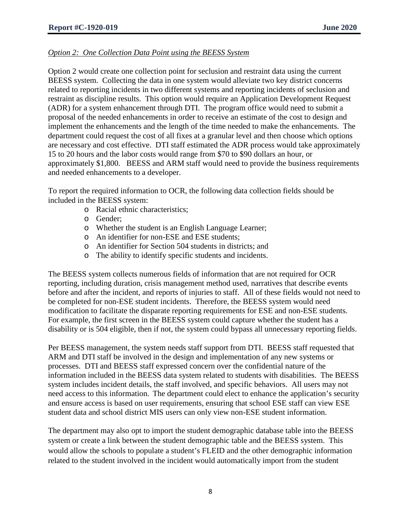#### *Option 2: One Collection Data Point using the BEESS System*

Option 2 would create one collection point for seclusion and restraint data using the current BEESS system. Collecting the data in one system would alleviate two key district concerns related to reporting incidents in two different systems and reporting incidents of seclusion and restraint as discipline results. This option would require an Application Development Request (ADR) for a system enhancement through DTI. The program office would need to submit a proposal of the needed enhancements in order to receive an estimate of the cost to design and implement the enhancements and the length of the time needed to make the enhancements. The department could request the cost of all fixes at a granular level and then choose which options are necessary and cost effective. DTI staff estimated the ADR process would take approximately 15 to 20 hours and the labor costs would range from \$70 to \$90 dollars an hour, or approximately \$1,800. BEESS and ARM staff would need to provide the business requirements and needed enhancements to a developer.

To report the required information to OCR, the following data collection fields should be included in the BEESS system:

- o Racial ethnic characteristics;
- o Gender;
- o Whether the student is an English Language Learner;
- o An identifier for non-ESE and ESE students;
- o An identifier for Section 504 students in districts; and
- o The ability to identify specific students and incidents.

The BEESS system collects numerous fields of information that are not required for OCR reporting, including duration, crisis management method used, narratives that describe events before and after the incident, and reports of injuries to staff. All of these fields would not need to be completed for non-ESE student incidents. Therefore, the BEESS system would need modification to facilitate the disparate reporting requirements for ESE and non-ESE students. For example, the first screen in the BEESS system could capture whether the student has a disability or is 504 eligible, then if not, the system could bypass all unnecessary reporting fields.

Per BEESS management, the system needs staff support from DTI. BEESS staff requested that ARM and DTI staff be involved in the design and implementation of any new systems or processes. DTI and BEESS staff expressed concern over the confidential nature of the information included in the BEESS data system related to students with disabilities. The BEESS system includes incident details, the staff involved, and specific behaviors. All users may not need access to this information. The department could elect to enhance the application's security and ensure access is based on user requirements, ensuring that school ESE staff can view ESE student data and school district MIS users can only view non-ESE student information.

The department may also opt to import the student demographic database table into the BEESS system or create a link between the student demographic table and the BEESS system. This would allow the schools to populate a student's FLEID and the other demographic information related to the student involved in the incident would automatically import from the student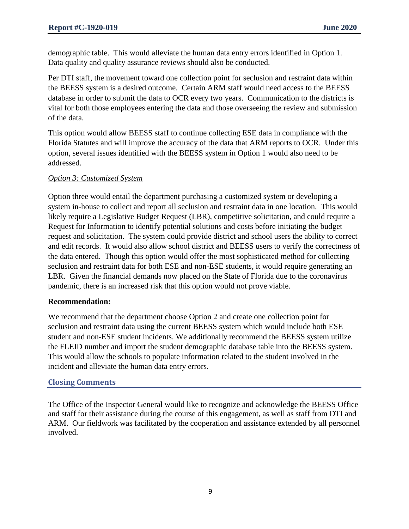demographic table. This would alleviate the human data entry errors identified in Option 1. Data quality and quality assurance reviews should also be conducted.

Per DTI staff, the movement toward one collection point for seclusion and restraint data within the BEESS system is a desired outcome. Certain ARM staff would need access to the BEESS database in order to submit the data to OCR every two years. Communication to the districts is vital for both those employees entering the data and those overseeing the review and submission of the data.

This option would allow BEESS staff to continue collecting ESE data in compliance with the Florida Statutes and will improve the accuracy of the data that ARM reports to OCR. Under this option, several issues identified with the BEESS system in Option 1 would also need to be addressed.

#### *Option 3: Customized System*

Option three would entail the department purchasing a customized system or developing a system in-house to collect and report all seclusion and restraint data in one location. This would likely require a Legislative Budget Request (LBR), competitive solicitation, and could require a Request for Information to identify potential solutions and costs before initiating the budget request and solicitation. The system could provide district and school users the ability to correct and edit records. It would also allow school district and BEESS users to verify the correctness of the data entered. Though this option would offer the most sophisticated method for collecting seclusion and restraint data for both ESE and non-ESE students, it would require generating an LBR. Given the financial demands now placed on the State of Florida due to the coronavirus pandemic, there is an increased risk that this option would not prove viable.

#### **Recommendation:**

We recommend that the department choose Option 2 and create one collection point for seclusion and restraint data using the current BEESS system which would include both ESE student and non-ESE student incidents. We additionally recommend the BEESS system utilize the FLEID number and import the student demographic database table into the BEESS system. This would allow the schools to populate information related to the student involved in the incident and alleviate the human data entry errors.

#### **Closing Comments**

The Office of the Inspector General would like to recognize and acknowledge the BEESS Office and staff for their assistance during the course of this engagement, as well as staff from DTI and ARM. Our fieldwork was facilitated by the cooperation and assistance extended by all personnel involved.